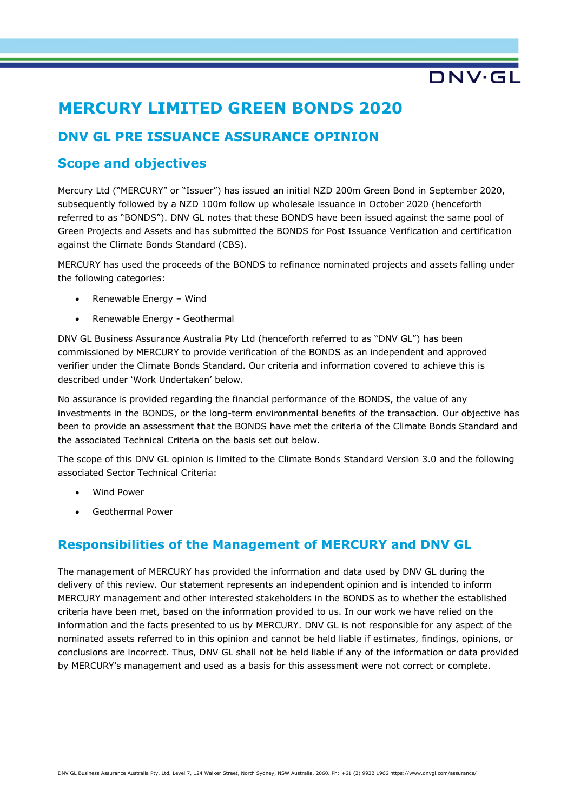# **MERCURY LIMITED GREEN BONDS 2020**

# **DNV GL PRE ISSUANCE ASSURANCE OPINION**

## **Scope and objectives**

Mercury Ltd ("MERCURY" or "Issuer") has issued an initial NZD 200m Green Bond in September 2020, subsequently followed by a NZD 100m follow up wholesale issuance in October 2020 (henceforth referred to as "BONDS"). DNV GL notes that these BONDS have been issued against the same pool of Green Projects and Assets and has submitted the BONDS for Post Issuance Verification and certification against the Climate Bonds Standard (CBS).

DNV·GL

MERCURY has used the proceeds of the BONDS to refinance nominated projects and assets falling under the following categories:

- Renewable Energy Wind
- Renewable Energy Geothermal

DNV GL Business Assurance Australia Pty Ltd (henceforth referred to as "DNV GL") has been commissioned by MERCURY to provide verification of the BONDS as an independent and approved verifier under the Climate Bonds Standard. Our criteria and information covered to achieve this is described under 'Work Undertaken' below.

No assurance is provided regarding the financial performance of the BONDS, the value of any investments in the BONDS, or the long-term environmental benefits of the transaction. Our objective has been to provide an assessment that the BONDS have met the criteria of the Climate Bonds Standard and the associated Technical Criteria on the basis set out below.

The scope of this DNV GL opinion is limited to the Climate Bonds Standard Version 3.0 and the following associated Sector Technical Criteria:

- Wind Power
- Geothermal Power

## **Responsibilities of the Management of MERCURY and DNV GL**

The management of MERCURY has provided the information and data used by DNV GL during the delivery of this review. Our statement represents an independent opinion and is intended to inform MERCURY management and other interested stakeholders in the BONDS as to whether the established criteria have been met, based on the information provided to us. In our work we have relied on the information and the facts presented to us by MERCURY. DNV GL is not responsible for any aspect of the nominated assets referred to in this opinion and cannot be held liable if estimates, findings, opinions, or conclusions are incorrect. Thus, DNV GL shall not be held liable if any of the information or data provided by MERCURY's management and used as a basis for this assessment were not correct or complete.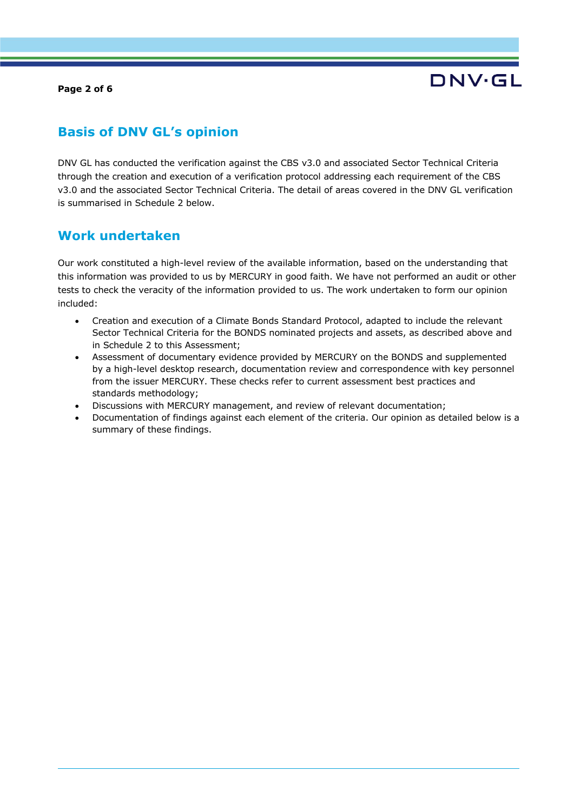**Page 2 of 6**

# DNV.GL

## **Basis of DNV GL's opinion**

DNV GL has conducted the verification against the CBS v3.0 and associated Sector Technical Criteria through the creation and execution of a verification protocol addressing each requirement of the CBS v3.0 and the associated Sector Technical Criteria. The detail of areas covered in the DNV GL verification is summarised in Schedule 2 below.

## **Work undertaken**

Our work constituted a high-level review of the available information, based on the understanding that this information was provided to us by MERCURY in good faith. We have not performed an audit or other tests to check the veracity of the information provided to us. The work undertaken to form our opinion included:

- Creation and execution of a Climate Bonds Standard Protocol, adapted to include the relevant Sector Technical Criteria for the BONDS nominated projects and assets, as described above and in Schedule 2 to this Assessment;
- Assessment of documentary evidence provided by MERCURY on the BONDS and supplemented by a high-level desktop research, documentation review and correspondence with key personnel from the issuer MERCURY. These checks refer to current assessment best practices and standards methodology;
- Discussions with MERCURY management, and review of relevant documentation;
- Documentation of findings against each element of the criteria. Our opinion as detailed below is a summary of these findings.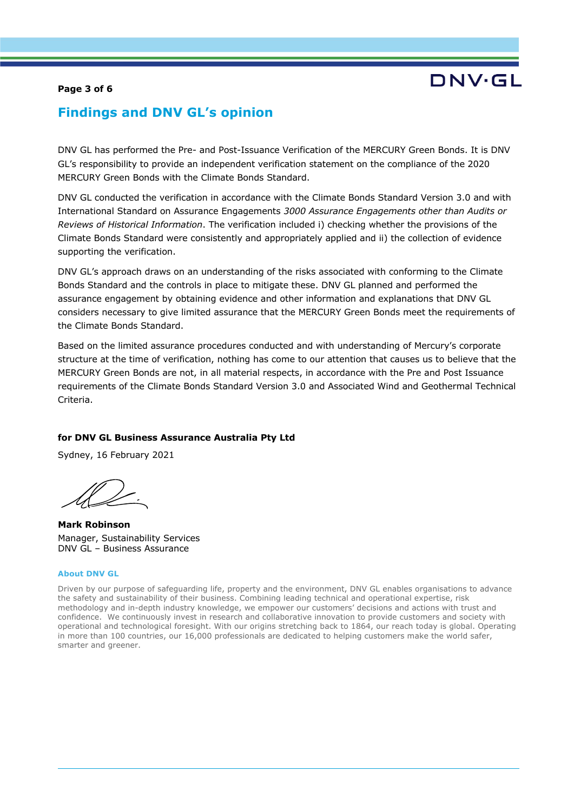#### **Page 3 of 6**

# DNV.GL

## **Findings and DNV GL's opinion**

DNV GL has performed the Pre- and Post-Issuance Verification of the MERCURY Green Bonds. It is DNV GL's responsibility to provide an independent verification statement on the compliance of the 2020 MERCURY Green Bonds with the Climate Bonds Standard.

DNV GL conducted the verification in accordance with the Climate Bonds Standard Version 3.0 and with International Standard on Assurance Engagements *3000 Assurance Engagements other than Audits or Reviews of Historical Information*. The verification included i) checking whether the provisions of the Climate Bonds Standard were consistently and appropriately applied and ii) the collection of evidence supporting the verification.

DNV GL's approach draws on an understanding of the risks associated with conforming to the Climate Bonds Standard and the controls in place to mitigate these. DNV GL planned and performed the assurance engagement by obtaining evidence and other information and explanations that DNV GL considers necessary to give limited assurance that the MERCURY Green Bonds meet the requirements of the Climate Bonds Standard.

Based on the limited assurance procedures conducted and with understanding of Mercury's corporate structure at the time of verification, nothing has come to our attention that causes us to believe that the MERCURY Green Bonds are not, in all material respects, in accordance with the Pre and Post Issuance requirements of the Climate Bonds Standard Version 3.0 and Associated Wind and Geothermal Technical Criteria.

### **for DNV GL Business Assurance Australia Pty Ltd**

Sydney, 16 February 2021

**Mark Robinson** Manager, Sustainability Services DNV GL – Business Assurance

#### **About DNV GL**

Driven by our purpose of safeguarding life, property and the environment, DNV GL enables organisations to advance the safety and sustainability of their business. Combining leading technical and operational expertise, risk methodology and in-depth industry knowledge, we empower our customers' decisions and actions with trust and confidence. We continuously invest in research and collaborative innovation to provide customers and society with operational and technological foresight. With our origins stretching back to 1864, our reach today is global. Operating in more than 100 countries, our 16,000 professionals are dedicated to helping customers make the world safer, smarter and greener.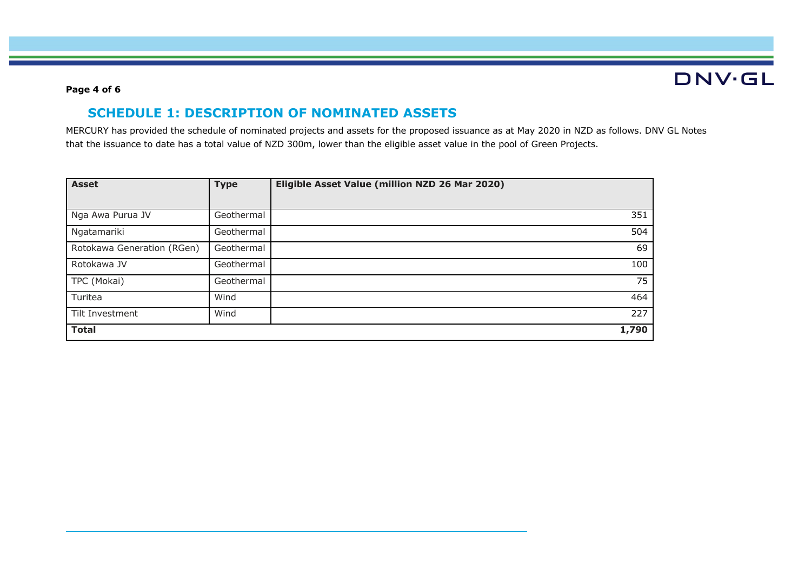# **DNV·GL**

### **Page 4 of 6**

## **SCHEDULE 1: DESCRIPTION OF NOMINATED ASSETS**

MERCURY has provided the schedule of nominated projects and assets for the proposed issuance as at May 2020 in NZD as follows. DNV GL Notes that the issuance to date has a total value of NZD 300m, lower than the eligible asset value in the pool of Green Projects.

| <b>Asset</b>               | <b>Type</b> | Eligible Asset Value (million NZD 26 Mar 2020) |
|----------------------------|-------------|------------------------------------------------|
|                            |             |                                                |
| Nga Awa Purua JV           | Geothermal  | 351                                            |
| Ngatamariki                | Geothermal  | 504                                            |
| Rotokawa Generation (RGen) | Geothermal  | 69                                             |
| Rotokawa JV                | Geothermal  | 100                                            |
| TPC (Mokai)                | Geothermal  | 75                                             |
| Turitea                    | Wind        | 464                                            |
| Tilt Investment            | Wind        | 227                                            |
| <b>Total</b>               |             | 1,790                                          |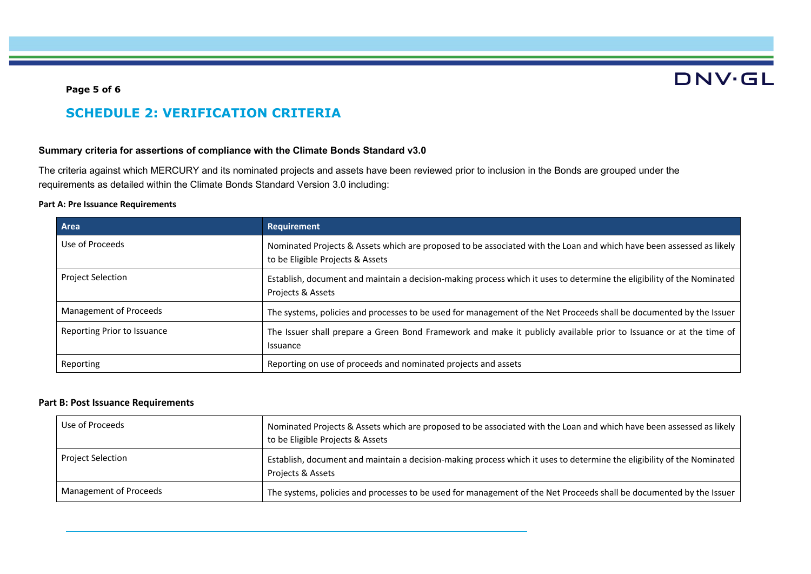# **DNV·GL**

### **Page 5 of 6**

## **SCHEDULE 2: VERIFICATION CRITERIA**

#### **Summary criteria for assertions of compliance with the Climate Bonds Standard v3.0**

The criteria against which MERCURY and its nominated projects and assets have been reviewed prior to inclusion in the Bonds are grouped under the requirements as detailed within the Climate Bonds Standard Version 3.0 including:

#### **Part A: Pre Issuance Requirements**

| Area                        | Requirement                                                                                                                                              |
|-----------------------------|----------------------------------------------------------------------------------------------------------------------------------------------------------|
| Use of Proceeds             | Nominated Projects & Assets which are proposed to be associated with the Loan and which have been assessed as likely<br>to be Eligible Projects & Assets |
| <b>Project Selection</b>    | Establish, document and maintain a decision-making process which it uses to determine the eligibility of the Nominated<br>Projects & Assets              |
| Management of Proceeds      | The systems, policies and processes to be used for management of the Net Proceeds shall be documented by the Issuer                                      |
| Reporting Prior to Issuance | The Issuer shall prepare a Green Bond Framework and make it publicly available prior to Issuance or at the time of<br>Issuance                           |
| Reporting                   | Reporting on use of proceeds and nominated projects and assets                                                                                           |

### **Part B: Post Issuance Requirements**

|  | Use of Proceeds        | Nominated Projects & Assets which are proposed to be associated with the Loan and which have been assessed as likely<br>to be Eligible Projects & Assets |
|--|------------------------|----------------------------------------------------------------------------------------------------------------------------------------------------------|
|  | Project Selection      | Establish, document and maintain a decision-making process which it uses to determine the eligibility of the Nominated<br>Projects & Assets              |
|  | Management of Proceeds | The systems, policies and processes to be used for management of the Net Proceeds shall be documented by the Issuer                                      |